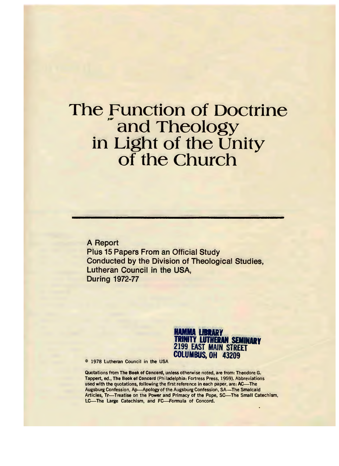#### The Function of Doctrine and Theology in Light of the Unity of the Church

A Report Plus 15 Papers From an Official Study Conducted by the Division of Theological Studies, Lutheran Council in the USA, During 1972-77



© 1978 Lutheran Council in the USA

Quotations from The **Book** of Concord, unless otherwise noted, are from: Theodore G. Tappert, ed., The **Book** of Concord (Philadelphia: Fortress Press, 1959). Abbreviations used with the quotations, following the first reference in each paper, are: AC-The Augsburg Confession, Ap—Apology of the Augsburg Confession, SA—The Smalcald Articles, Tr-Treatise on the Power and Primacy of the Pope, SC-The Small Catechism, LC-The Large Catechism, and FC-Formula of Concord.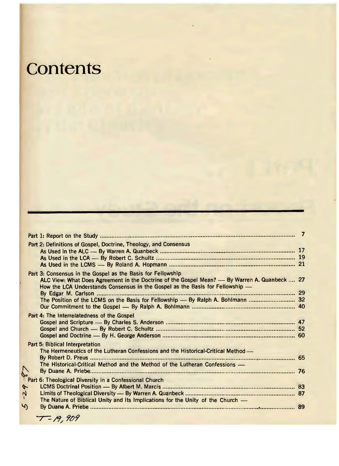### **Contents**

|                    | Part 2: Definitions of Gospel, Doctrine, Theology, and Consensus                                                                                                                                                                                                                                                                 |  |
|--------------------|----------------------------------------------------------------------------------------------------------------------------------------------------------------------------------------------------------------------------------------------------------------------------------------------------------------------------------|--|
|                    | Part 3: Consensus in the Gospel as the Basis for Fellowship<br>ALC View: What Does Agreement in the Doctrine of the Gospel Mean? — By Warren A. Quanbeck  27<br>How the LCA Understands Consensus in the Gospel as the Basis for Fellowship -<br>The Position of the LCMS on the Basis for Fellowship — By Ralph A. Bohlmann  32 |  |
|                    | Part 4: The Interrelatedness of the Gospel                                                                                                                                                                                                                                                                                       |  |
|                    | Part 5: Biblical Interpretation<br>The Hermeneutics of the Lutheran Confessions and the Historical-Critical Method -<br>The Historical-Critical Method and the Method of the Lutheran Confessions -                                                                                                                              |  |
| $\frac{1}{2}$<br>5 | The Nature of Biblical Unity and Its Implications for the Unity of the Church —                                                                                                                                                                                                                                                  |  |
|                    |                                                                                                                                                                                                                                                                                                                                  |  |

 $T - 19,909$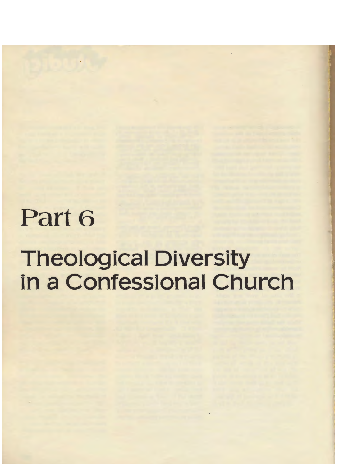## Part 6

# Theological Diversity in a Confessional Church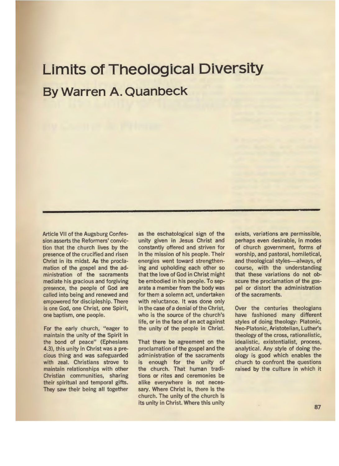#### **Limits of Theological Diversity By Warren A. Quanbeck**

Article VII of the Augsburg Confession asserts the Reformers' conviction that the church lives by the presence of the crucified and risen Christ in its midst. As the proclamation of the gospel and the administration of the sacraments mediate his gracious and forgiving presence, the people of God are called into being and renewed and empowered for discipleship. There is one God, one Christ, one Spirit, one baptism, one people.

For the early church, "eager to maintain the unity of the Spirit in the bond of peace" (Ephesians 4.3), this unity in Christ was a precious thing and was safeguarded with zeal. Christians strove to maintain relationships with other Christian communities, sharing their spiritual and temporal gifts. They saw their being all together as the eschatological sign of the unity given in Jesus Christ and constantly offered and striven for in the mission of his people. Their energies went toward strengthening and upholding each other so that the love of God in Christ might be embodied in his people. To separate a member from the body was for them a solemn act, undertaken with reluctance. It was done only in the case of a denial of the Christ, who is the source of the church's life, or in the face of an act against the unity of the people in Christ.

That there be agreement on the proclamation of the gospel and the administration of the sacraments is enough for the unity of the church. That human traditions or rites and ceremonies be alike everywhere is not necessary. Where Christ is, there is the church. The unity of the church is its unity in Christ. Where this unity exists, variations are permissible, perhaps even desirable, in modes of church government, forms of worship, and pastoral, homiletical, and theological styles-always, of course, with the understanding that these variations do not obscure the proclamation of the gospel or distort the administration of the sacraments.

Over the centuries theologians have fashioned many different styles of doing theology: Platonic, Neo-Platonic, Aristotelian, Luther's theology of the cross, rationalistic, idealistic, existentialist, process, analytical. Any style of doing theology is good which enables the church to confront the questions raised by the culture in which it